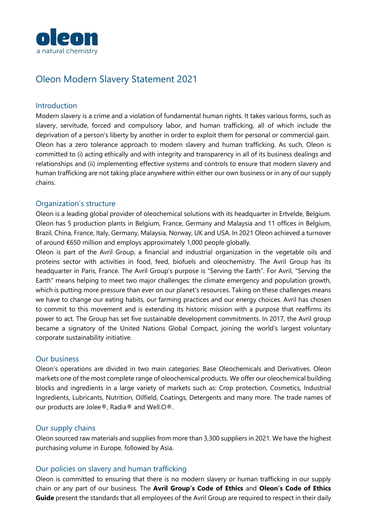

# Oleon Modern Slavery Statement 2021

#### Introduction

Modern slavery is a crime and a violation of fundamental human rights. It takes various forms, such as slavery, servitude, forced and compulsory labor, and human trafficking, all of which include the deprivation of a person's liberty by another in order to exploit them for personal or commercial gain. Oleon has a zero tolerance approach to modern slavery and human trafficking. As such, Oleon is committed to (i) acting ethically and with integrity and transparency in all of its business dealings and relationships and (ii) implementing effective systems and controls to ensure that modern slavery and human trafficking are not taking place anywhere within either our own business or in any of our supply chains.

#### Organization's structure

Oleon is a leading global provider of oleochemical solutions with its headquarter in Ertvelde, Belgium. Oleon has 5 production plants in Belgium, France, Germany and Malaysia and 11 offices in Belgium, Brazil, China, France, Italy, Germany, Malaysia, Norway, UK and USA. In 2021 Oleon achieved a turnover of around €650 million and employs approximately 1,000 people globally.

Oleon is part of the Avril Group, a financial and industrial organization in the vegetable oils and proteins sector with activities in food, feed, biofuels and oleochemistry. The Avril Group has its headquarter in Paris, France. The Avril Group's purpose is "Serving the Earth". For Avril, "Serving the Earth" means helping to meet two major challenges: the climate emergency and population growth, which is putting more pressure than ever on our planet's resources. Taking on these challenges means we have to change our eating habits, our farming practices and our energy choices. Avril has chosen to commit to this movement and is extending its historic mission with a purpose that reaffirms its power to act. The Group has set five sustainable development commitments. In 2017, the Avril group became a signatory of the United Nations Global Compact, joining the world's largest voluntary corporate sustainability initiative.

## Our business

Oleon's operations are divided in two main categories: Base Oleochemicals and Derivatives. Oleon markets one of the most complete range of oleochemical products. We offer our oleochemical building blocks and ingredients in a large variety of markets such as: Crop protection, Cosmetics, Industrial Ingredients, Lubricants, Nutrition, Oilfield, Coatings, Detergents and many more. The trade names of our products are Jolee®, Radia® and Well.O®.

## Our supply chains

Oleon sourced raw materials and supplies from more than 3,300 suppliers in 2021. We have the highest purchasing volume in Europe, followed by Asia.

#### Our policies on slavery and human trafficking

Oleon is committed to ensuring that there is no modern slavery or human trafficking in our supply chain or any part of our business. The **Avril Group's Code of Ethics** and **Oleon's Code of Ethics Guide** present the standards that all employees of the Avril Group are required to respect in their daily